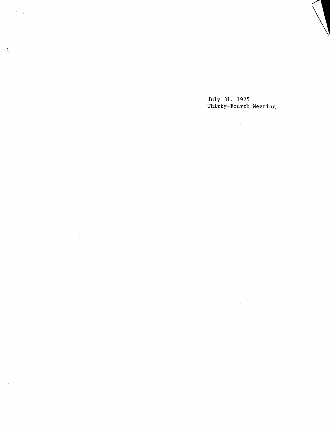July 31, 1975 Thirty-Fourth Meeting

 $\sim 10^6$ 

 $\sim$ 

 $\sim$   $\sim$ 

 $\sim 10^{-1}$ 

 $\sim 10$ 

 $\sim$   $\mu$ 

 $\sim 10^6$ 

 $\label{eq:2.1} \mathcal{L}(\mathcal{L}(\mathcal{L})) = \mathcal{L}(\mathcal{L}(\mathcal{L})) = \mathcal{L}(\mathcal{L}(\mathcal{L}))$ 

 $\sim 10^7$ 

 $\mathcal{A}^{\mathcal{A}}$ 

 $\bar{\mathbf{v}}$ 

 $\frac{d}{dt}$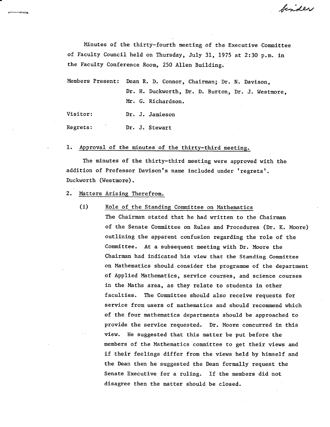binder

Minutes of the thirty-fourth meeting of the Executive Committee of Faculty Council held on Thursday, July 31, 1975 at 2:30 p.m. in the Faculty Conference Room, 250 Allen Building.

Members Present: Dean R. D. Connor, Chairman; Dr. N. Davison, Dr. H. Duckworth, Dr. D. Burton, Dr. J. Westmore, Mr. G. Richardson.

Visitor: Dr. J. Jamieson

Regrets: Dr. J. Stewart

#### 1. Approval of the minutes of the thirty-third meeting.

The minutes of the thirty-third meeting were approved with the addition of Professor Davison's name included under 'regrets'. Duckworth (Westmore).

- Matters Arising Therefrom.
	- (i) Role of the Standing Committee on Mathematics

The Chairman stated that he had written to the Chairman of the Senate Committee on Rules and Procedures (Dr. K. Moore) outlining the apparent confusion regarding the role of the Committee. At a subsequent meeting with Dr. Moore the Chairman had indicated his view that the Standing Committee on Mathematics should consider the programme of the department of Applied Mathematics, service courses, and science courses in the Maths area, as they relate to students in other faculties. The Committee should also receive requests for service from users of mathematics and should recommend which of the four mathematics departments should be approached to provide the service requested. Dr. Moore concurred in this view. He suggested that this matter be put before the members of the Mathematics committee to get their views and if their feelings differ from the views held by himself and the Dean then he suggested the Dean formally request the Senate Executive for a ruling. If the members did not disagree then the matter should be closed.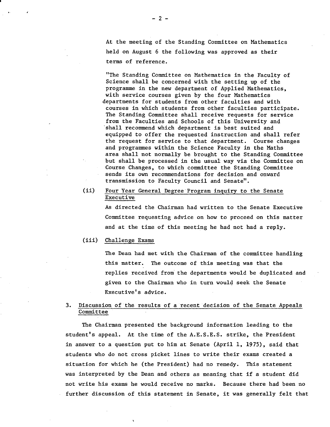At the meeting of the Standing Committee on Mathematics held on August 6 the following was approved as their terms of reference.

"The Standing Committee on Mathematics in the Faculty of Science shall be concerned with the setting up of the programme in the new department of Applied Mathematics, with service courses given by the four Mathematics departments for students from other faculties and with courses in which students from other faculties participate. The Standing Committee shall receive requests for service from the Faculties and Schools of this University and 'shall recommend which department is best suited and equipped to offer the requested instruction and shall refer the request for service to that department. Course changes and programmes within the Science Faculty in the Maths area shall not normally be brought to the Standing Committee but shall be processed in the usual way via the Committee on Course Changes, to which committee the Standing Committee sends its own recommendations for decision and onward transmission to Faculty Council and Senate".

#### $(ii)$ Four Year General Degree Program inquiry to the Senate Executive

As directed the Chairman had written to the Senate Executive Committee requesting advice on how to proceed on this matter and at the time of this meeting he had not had a reply.

#### $(iii)$ Challenge Exams

The Dean had met with the Chairman of the committee handling this matter. The outcome of this meeting was that the replies received from: the departments would be duplicated and given to the Chairman who in turn would seek the Senate Executive's advice.

## 3. Discussion of the results of arecent decision of the Senate Appeals Committee

The Chairman presented the background information leading to the student's appeal. At the time of the A.E.S.E.S. strike, the President in answer to a question put to him at Senate (April 1, 1975), said that students who do not cross picket lines to write their exams created a situation for which he (the President) had no remedy. This statement was interpreted by the Dean and others as meaning that if a student did not write his exams he would receive no marks. Because there had been no further discussion of this statement in Senate, it was generally felt that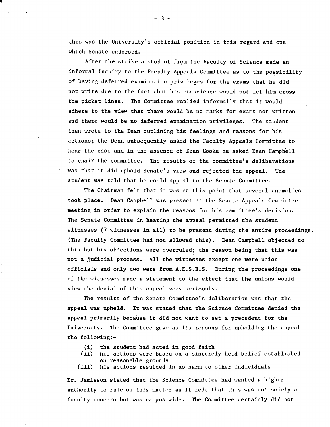this was the University's official position in this regard and one which Senate endorsed.

After the strike a student from the Faculty of Science made an informal inquiry to the Faculty Appeals Committee as to the possibility of having deferred examination privileges for the exams that he did not write due to the fact that his conscience would not let him cross the picket lines. The Committee replied informally that it would adhere to the view that there would be no marks for exams not written and there would be no deferred examination privileges. The student then wrote to the Dean outlining his feelings and reasons for his actions; the Dean subsequently asked the Faculty Appeals Committee to hear the case and in the absence of Dean Cooke he asked Dean Campbell to chair the committee. The results of the committee's deliberations was that it did uphold Senate's view and rejected the appeal. The student was told that he could appeal to the Senate Committee.

The Chairman felt that it was at this point that several anomalies took place. Dean Campbell was present at the Senate Appeals Committee meeting in order to explain the reasons for his committee's decision. The Senate Committee in hearing the appeal permitted the student witnesses (7 witnesses in all) to be present during the entire proceedings. (The Faculty Committee had not allowed this). Dean Campbell objected to this but his objections were overruled; the reason being that this was not a judicial process. All the witnesses except one were union officials and only two were from A.E.S.E.S. During the proceedings one of.the witnesses made a statement to the effect that the unions would view the denial of this appeal very seriously.

The results of the Senate Committee's deliberation was that the appeal was upheld. It was stated that the Science Committee denied the appeal primarily because it did not want to set a precedent for the University. The Committee gave as its reasons for upholding the appeal the following:-

- $(i)$ the student had acted in good faith
- $(ii)$ his actions were based on a sincerely held belief established on reasonable grounds
- his actions resulted in no harm to other individuals  $(iii)$

Dr. Jamieson stated that the Science Committee had wanted a higher authority to rule on this matter as it felt that this was not solely a faculty concern but was campus wide. The Committee certainly did not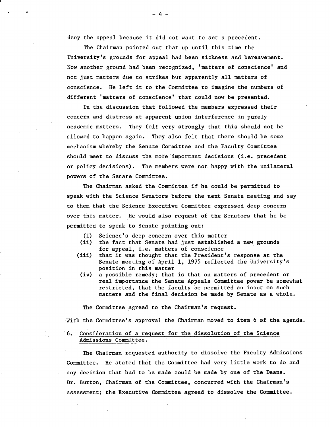deny the appeal because it did not want to set a precedent.

The Chairman pointed out that up until this time the University's grounds for appeal had been sickness and bereavement. Now another ground had been recognized, 'matters of conscience' and not just matters due to strikes but apparently all matters of conscience. He left it to the Committee to imagine the numbers of different 'matters of conscience' that could now be presented.

In the discussion that followed the members expressed their concern and distress at apparent union interference in purely academic matters. They felt very strongly that this should not be allowed to happen again. They also felt that there should be some mechanism whereby the Senate Committee and the Faculty *Committee*  should meet to discuss the more important decisions (i.e. precedent or policy decisions). The members were not happy with the unilateral powers of the Senate Committee.

The Chairman asked the Committee if he could be *permitted* to speak with the Science Senators before the next Senate meeting and say to them that the Science Executive *Committee* expressed deep concern over this matter. He would also request of the Senators that he be permitted to speak to Senate pointing out:

- (1) Science's deep concern over this matter
- (ii) the fact that Senate had just established a new grounds for appeal, i.e. matters of conscience
- $(iii)$ that it was thought that the President's response at the Senate meeting of April 1, 1975 reflected the University's position in this matter
- a possible remedy; that is that on matters of precedent or real importance the Senate Appeals Committee power be somewhat restricted, that the faculty be permitted an input on such matters and the final decision be made by Senate as a whole.

The Committee agreed to the Chairman's request.

With the Committee's approval the Chairman moved to item 6 of the agenda.

## 6. Consideration of a request for the dissolution of the Science Admissions Committee.

The Chairman requested authority to dissolve the Faculty Admissions Committee. He stated that the Committee had very little work to do and any decision that had to be made could be made by one of the Deans. Dr. Burton, Chairman of the *Committee,* concurred with the Chairman's assessment; the Executive *Committee* agreed to dissolve the Committee.

**<sup>S</sup>**-4-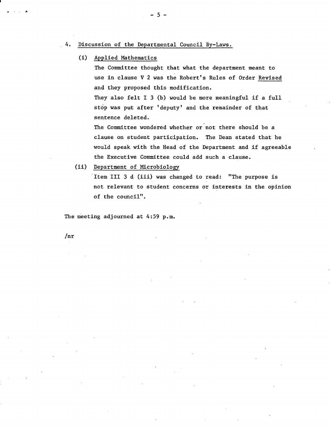#### 4. Discussion of the Departmental Council By-Laws.

Applied Mathematics

The Committee thought that what the department meant to use in clause V 2 was the Robert's Rules of Order Revised and they proposed this modification.

They also felt I 3 (b) would be more meaningful if a full stop was put after 'deputy' and the remainder of that sentence deleted.

The Committee wondered whether or not there should be a clause on student participation. The Dean stated that he would speak with the Head of the Department and if agreeable the Executive Committee could add such a clause.

(ii) Department of Microbiology

Item III 3 d (iii) was changed to read: "The purpose is not relevant to student concerns or interests in the opinion of the council".

The meeting adjourned at 4:59 p.m.

 $/nr$